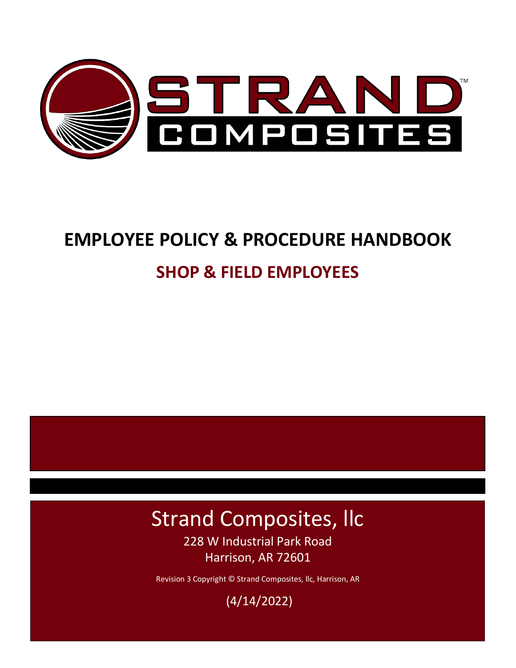

# **SHOP & FIELD EMPLOYEES**

## Strand Composites, llc 228 W Industrial Park Road Harrison, AR 72601

Revision 3 Copyright © Strand Composites, llc, Harrison, AR

(4/14/2022)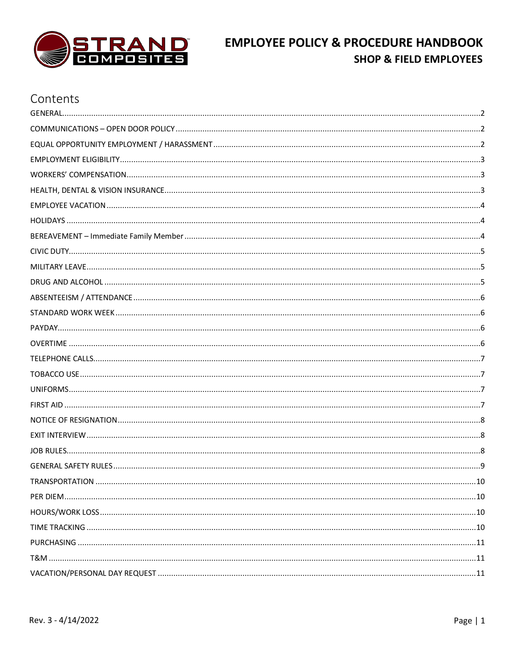

### Contents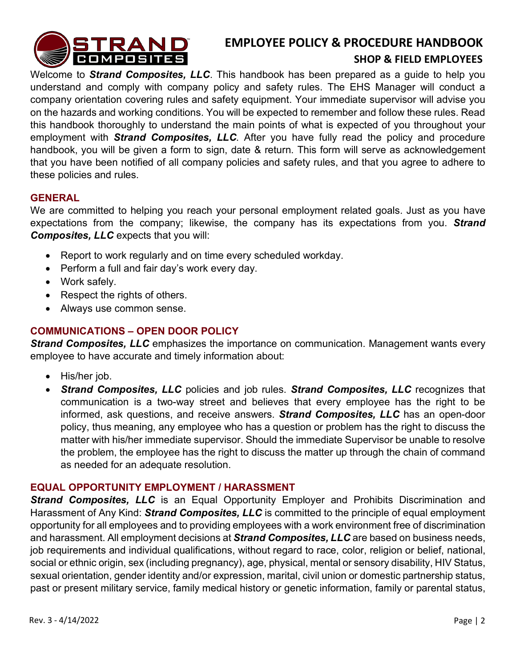

#### **SHOP & FIELD EMPLOYEES**

Welcome to *Strand Composites, LLC*. This handbook has been prepared as a guide to help you understand and comply with company policy and safety rules. The EHS Manager will conduct a company orientation covering rules and safety equipment. Your immediate supervisor will advise you on the hazards and working conditions. You will be expected to remember and follow these rules. Read this handbook thoroughly to understand the main points of what is expected of you throughout your employment with *Strand Composites, LLC*. After you have fully read the policy and procedure handbook, you will be given a form to sign, date & return. This form will serve as acknowledgement that you have been notified of all company policies and safety rules, and that you agree to adhere to these policies and rules.

#### <span id="page-2-0"></span>**GENERAL**

We are committed to helping you reach your personal employment related goals. Just as you have expectations from the company; likewise, the company has its expectations from you. *Strand Composites, LLC* expects that you will:

- Report to work regularly and on time every scheduled workday.
- Perform a full and fair day's work every day.
- Work safely.
- Respect the rights of others.
- Always use common sense.

#### <span id="page-2-1"></span>**COMMUNICATIONS – OPEN DOOR POLICY**

*Strand Composites, LLC* emphasizes the importance on communication. Management wants every employee to have accurate and timely information about:

- His/her job.
- *Strand Composites, LLC* policies and job rules. *Strand Composites, LLC* recognizes that communication is a two-way street and believes that every employee has the right to be informed, ask questions, and receive answers. *Strand Composites, LLC* has an open-door policy, thus meaning, any employee who has a question or problem has the right to discuss the matter with his/her immediate supervisor. Should the immediate Supervisor be unable to resolve the problem, the employee has the right to discuss the matter up through the chain of command as needed for an adequate resolution.

#### <span id="page-2-2"></span>**EQUAL OPPORTUNITY EMPLOYMENT / HARASSMENT**

**Strand Composites, LLC** is an Equal Opportunity Employer and Prohibits Discrimination and Harassment of Any Kind: *Strand Composites, LLC* is committed to the principle of equal employment opportunity for all employees and to providing employees with a work environment free of discrimination and harassment. All employment decisions at *Strand Composites, LLC* are based on business needs, job requirements and individual qualifications, without regard to race, color, religion or belief, national, social or ethnic origin, sex (including pregnancy), age, physical, mental or sensory disability, HIV Status, sexual orientation, gender identity and/or expression, marital, civil union or domestic partnership status, past or present military service, family medical history or genetic information, family or parental status,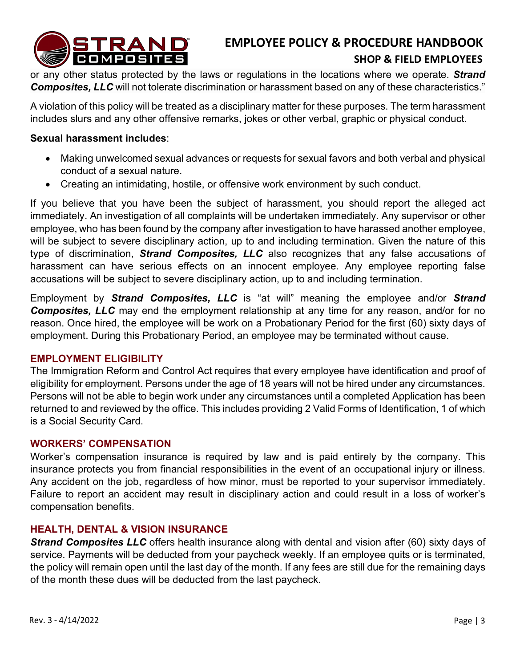

#### **SHOP & FIELD EMPLOYEES**

or any other status protected by the laws or regulations in the locations where we operate. *Strand Composites, LLC* will not tolerate discrimination or harassment based on any of these characteristics."

A violation of this policy will be treated as a disciplinary matter for these purposes. The term harassment includes slurs and any other offensive remarks, jokes or other verbal, graphic or physical conduct.

#### **Sexual harassment includes**:

- Making unwelcomed sexual advances or requests for sexual favors and both verbal and physical conduct of a sexual nature.
- Creating an intimidating, hostile, or offensive work environment by such conduct.

If you believe that you have been the subject of harassment, you should report the alleged act immediately. An investigation of all complaints will be undertaken immediately. Any supervisor or other employee, who has been found by the company after investigation to have harassed another employee, will be subject to severe disciplinary action, up to and including termination. Given the nature of this type of discrimination, *Strand Composites, LLC* also recognizes that any false accusations of harassment can have serious effects on an innocent employee. Any employee reporting false accusations will be subject to severe disciplinary action, up to and including termination.

Employment by *Strand Composites, LLC* is "at will" meaning the employee and/or *Strand*  **Composites, LLC** may end the employment relationship at any time for any reason, and/or for no reason. Once hired, the employee will be work on a Probationary Period for the first (60) sixty days of employment. During this Probationary Period, an employee may be terminated without cause.

#### <span id="page-3-0"></span>**EMPLOYMENT ELIGIBILITY**

The Immigration Reform and Control Act requires that every employee have identification and proof of eligibility for employment. Persons under the age of 18 years will not be hired under any circumstances. Persons will not be able to begin work under any circumstances until a completed Application has been returned to and reviewed by the office. This includes providing 2 Valid Forms of Identification, 1 of which is a Social Security Card.

#### <span id="page-3-1"></span>**WORKERS' COMPENSATION**

Worker's compensation insurance is required by law and is paid entirely by the company. This insurance protects you from financial responsibilities in the event of an occupational injury or illness. Any accident on the job, regardless of how minor, must be reported to your supervisor immediately. Failure to report an accident may result in disciplinary action and could result in a loss of worker's compensation benefits.

#### <span id="page-3-2"></span>**HEALTH, DENTAL & VISION INSURANCE**

**Strand Composites LLC** offers health insurance along with dental and vision after (60) sixty days of service. Payments will be deducted from your paycheck weekly. If an employee quits or is terminated, the policy will remain open until the last day of the month. If any fees are still due for the remaining days of the month these dues will be deducted from the last paycheck.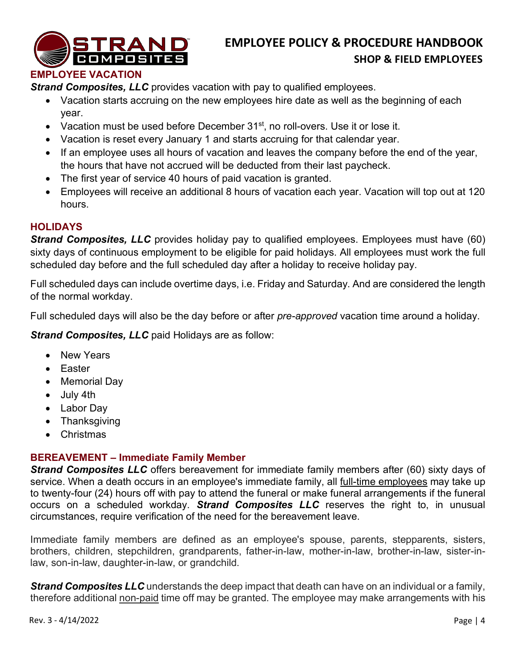

#### <span id="page-4-0"></span>**EMPLOYEE VACATION**

**Strand Composites, LLC** provides vacation with pay to qualified employees.

- Vacation starts accruing on the new employees hire date as well as the beginning of each year.
- Vacation must be used before December 31<sup>st</sup>, no roll-overs. Use it or lose it.
- Vacation is reset every January 1 and starts accruing for that calendar year.
- If an employee uses all hours of vacation and leaves the company before the end of the year, the hours that have not accrued will be deducted from their last paycheck.
- The first year of service 40 hours of paid vacation is granted.
- Employees will receive an additional 8 hours of vacation each year. Vacation will top out at 120 hours.

#### <span id="page-4-1"></span>**HOLIDAYS**

**Strand Composites, LLC** provides holiday pay to qualified employees. Employees must have (60) sixty days of continuous employment to be eligible for paid holidays. All employees must work the full scheduled day before and the full scheduled day after a holiday to receive holiday pay.

Full scheduled days can include overtime days, i.e. Friday and Saturday. And are considered the length of the normal workday.

Full scheduled days will also be the day before or after *pre-approved* vacation time around a holiday.

*Strand Composites, LLC* paid Holidays are as follow:

- New Years
- Easter
- Memorial Day
- July 4th
- Labor Day
- Thanksgiving
- Christmas

#### <span id="page-4-2"></span>**BEREAVEMENT – Immediate Family Member**

**Strand Composites LLC** offers bereavement for immediate family members after (60) sixty days of service. When a death occurs in an employee's immediate family, all [full-time employees](https://www.thebalancecareers.com/exempt-employees-1918120) may take up to twenty-four (24) hours off with pay to attend the funeral or make funeral arrangements if the funeral occurs on a scheduled workday. *Strand Composites LLC* reserves the right to, in unusual circumstances, require verification of the need for the bereavement leave.

Immediate family members are defined as an employee's spouse, parents, stepparents, sisters, brothers, children, stepchildren, grandparents, father-in-law, mother-in-law, brother-in-law, sister-inlaw, son-in-law, daughter-in-law, or grandchild.

*Strand Composites LLC* understands the deep impact that death can have on an individual or a family, therefore additional non-paid time off may be granted. The employee may make arrangements with his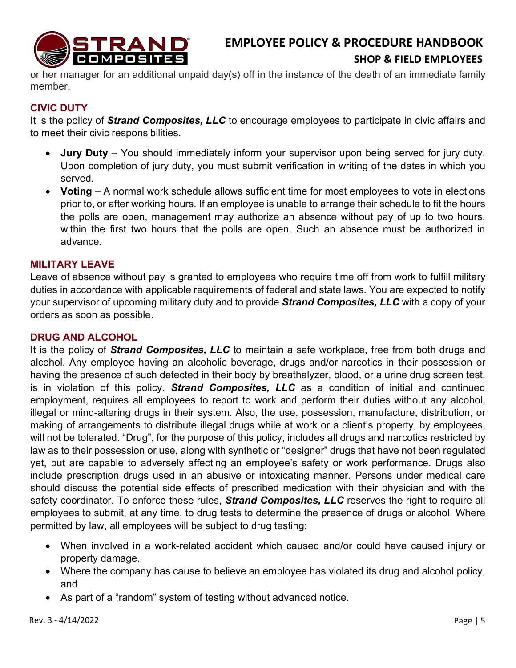

or her manager for an additional unpaid day(s) off in the instance of the death of an immediate family member.

#### <span id="page-5-0"></span>**CIVIC DUTY**

It is the policy of *Strand Composites, LLC* to encourage employees to participate in civic affairs and to meet their civic responsibilities.

- **Jury Duty** You should immediately inform your supervisor upon being served for jury duty. Upon completion of jury duty, you must submit verification in writing of the dates in which you served.
- **Voting** A normal work schedule allows sufficient time for most employees to vote in elections prior to, or after working hours. If an employee is unable to arrange their schedule to fit the hours the polls are open, management may authorize an absence without pay of up to two hours, within the first two hours that the polls are open. Such an absence must be authorized in advance.

#### <span id="page-5-1"></span>**MILITARY LEAVE**

Leave of absence without pay is granted to employees who require time off from work to fulfill military duties in accordance with applicable requirements of federal and state laws. You are expected to notify your supervisor of upcoming military duty and to provide *Strand Composites, LLC* with a copy of your orders as soon as possible.

#### <span id="page-5-2"></span>**DRUG AND ALCOHOL**

It is the policy of *Strand Composites, LLC* to maintain a safe workplace, free from both drugs and alcohol. Any employee having an alcoholic beverage, drugs and/or narcotics in their possession or having the presence of such detected in their body by breathalyzer, blood, or a urine drug screen test, is in violation of this policy. *Strand Composites, LLC* as a condition of initial and continued employment, requires all employees to report to work and perform their duties without any alcohol, illegal or mind-altering drugs in their system. Also, the use, possession, manufacture, distribution, or making of arrangements to distribute illegal drugs while at work or a client's property, by employees, will not be tolerated. "Drug", for the purpose of this policy, includes all drugs and narcotics restricted by law as to their possession or use, along with synthetic or "designer" drugs that have not been regulated yet, but are capable to adversely affecting an employee's safety or work performance. Drugs also include prescription drugs used in an abusive or intoxicating manner. Persons under medical care should discuss the potential side effects of prescribed medication with their physician and with the safety coordinator. To enforce these rules, *Strand Composites, LLC* reserves the right to require all employees to submit, at any time, to drug tests to determine the presence of drugs or alcohol. Where permitted by law, all employees will be subject to drug testing:

- When involved in a work-related accident which caused and/or could have caused injury or property damage.
- Where the company has cause to believe an employee has violated its drug and alcohol policy, and
- As part of a "random" system of testing without advanced notice.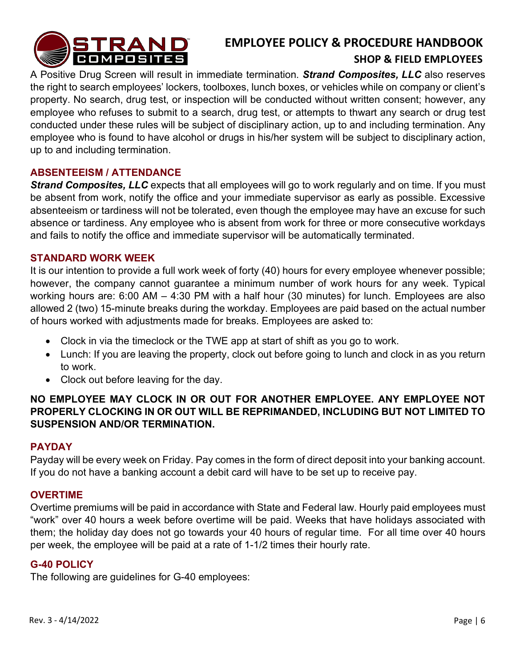

A Positive Drug Screen will result in immediate termination. *Strand Composites, LLC* also reserves the right to search employees' lockers, toolboxes, lunch boxes, or vehicles while on company or client's property. No search, drug test, or inspection will be conducted without written consent; however, any employee who refuses to submit to a search, drug test, or attempts to thwart any search or drug test conducted under these rules will be subject of disciplinary action, up to and including termination. Any employee who is found to have alcohol or drugs in his/her system will be subject to disciplinary action, up to and including termination.

#### <span id="page-6-0"></span>**ABSENTEEISM / ATTENDANCE**

**Strand Composites, LLC** expects that all employees will go to work regularly and on time. If you must be absent from work, notify the office and your immediate supervisor as early as possible. Excessive absenteeism or tardiness will not be tolerated, even though the employee may have an excuse for such absence or tardiness. Any employee who is absent from work for three or more consecutive workdays and fails to notify the office and immediate supervisor will be automatically terminated.

#### <span id="page-6-1"></span>**STANDARD WORK WEEK**

It is our intention to provide a full work week of forty (40) hours for every employee whenever possible; however, the company cannot guarantee a minimum number of work hours for any week. Typical working hours are: 6:00 AM – 4:30 PM with a half hour (30 minutes) for lunch. Employees are also allowed 2 (two) 15-minute breaks during the workday. Employees are paid based on the actual number of hours worked with adjustments made for breaks. Employees are asked to:

- Clock in via the timeclock or the TWE app at start of shift as you go to work.
- Lunch: If you are leaving the property, clock out before going to lunch and clock in as you return to work.
- Clock out before leaving for the day.

#### **NO EMPLOYEE MAY CLOCK IN OR OUT FOR ANOTHER EMPLOYEE. ANY EMPLOYEE NOT PROPERLY CLOCKING IN OR OUT WILL BE REPRIMANDED, INCLUDING BUT NOT LIMITED TO SUSPENSION AND/OR TERMINATION.**

#### <span id="page-6-2"></span>**PAYDAY**

Payday will be every week on Friday. Pay comes in the form of direct deposit into your banking account. If you do not have a banking account a debit card will have to be set up to receive pay.

#### <span id="page-6-3"></span>**OVERTIME**

Overtime premiums will be paid in accordance with State and Federal law. Hourly paid employees must "work" over 40 hours a week before overtime will be paid. Weeks that have holidays associated with them; the holiday day does not go towards your 40 hours of regular time. For all time over 40 hours per week, the employee will be paid at a rate of 1-1/2 times their hourly rate.

#### **G-40 POLICY**

The following are guidelines for G-40 employees: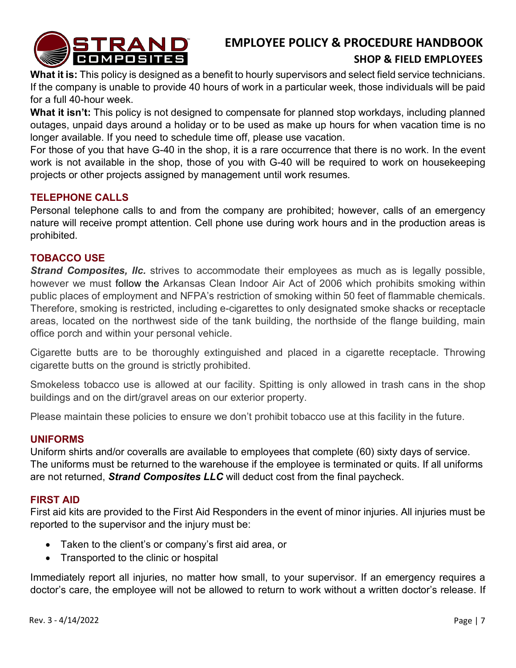

#### **SHOP & FIELD EMPLOYEES**

**What it is:** This policy is designed as a benefit to hourly supervisors and select field service technicians. If the company is unable to provide 40 hours of work in a particular week, those individuals will be paid for a full 40-hour week.

**What it isn't:** This policy is not designed to compensate for planned stop workdays, including planned outages, unpaid days around a holiday or to be used as make up hours for when vacation time is no longer available. If you need to schedule time off, please use vacation.

For those of you that have G-40 in the shop, it is a rare occurrence that there is no work. In the event work is not available in the shop, those of you with G-40 will be required to work on housekeeping projects or other projects assigned by management until work resumes.

#### <span id="page-7-0"></span>**TELEPHONE CALLS**

Personal telephone calls to and from the company are prohibited; however, calls of an emergency nature will receive prompt attention. Cell phone use during work hours and in the production areas is prohibited.

#### <span id="page-7-1"></span>**TOBACCO USE**

**Strand Composites, IIc.** strives to accommodate their employees as much as is legally possible, however we must follow the Arkansas Clean Indoor Air Act of 2006 which prohibits smoking within public places of employment and NFPA's restriction of smoking within 50 feet of flammable chemicals. Therefore, smoking is restricted, including e-cigarettes to only designated smoke shacks or receptacle areas, located on the northwest side of the tank building, the northside of the flange building, main office porch and within your personal vehicle.

Cigarette butts are to be thoroughly extinguished and placed in a cigarette receptacle. Throwing cigarette butts on the ground is strictly prohibited.

Smokeless tobacco use is allowed at our facility. Spitting is only allowed in trash cans in the shop buildings and on the dirt/gravel areas on our exterior property.

Please maintain these policies to ensure we don't prohibit tobacco use at this facility in the future.

#### <span id="page-7-2"></span>**UNIFORMS**

Uniform shirts and/or coveralls are available to employees that complete (60) sixty days of service. The uniforms must be returned to the warehouse if the employee is terminated or quits. If all uniforms are not returned, *Strand Composites LLC* will deduct cost from the final paycheck.

#### <span id="page-7-3"></span>**FIRST AID**

First aid kits are provided to the First Aid Responders in the event of minor injuries. All injuries must be reported to the supervisor and the injury must be:

- Taken to the client's or company's first aid area, or
- Transported to the clinic or hospital

Immediately report all injuries, no matter how small, to your supervisor. If an emergency requires a doctor's care, the employee will not be allowed to return to work without a written doctor's release. If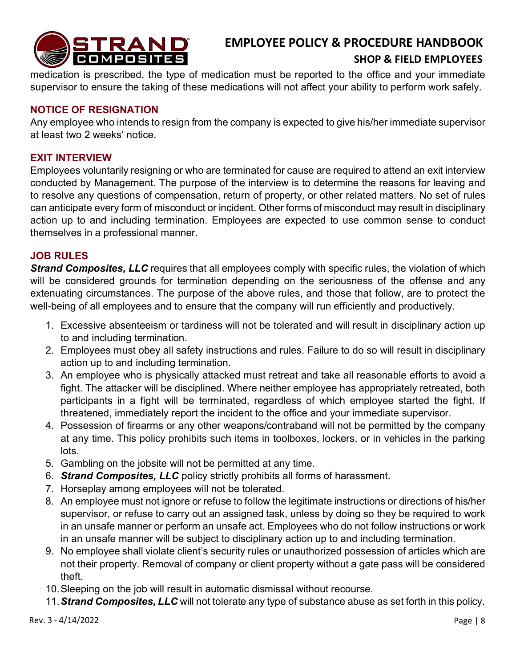

#### **SHOP & FIELD EMPLOYEES**

medication is prescribed, the type of medication must be reported to the office and your immediate supervisor to ensure the taking of these medications will not affect your ability to perform work safely.

#### <span id="page-8-0"></span>**NOTICE OF RESIGNATION**

Any employee who intends to resign from the company is expected to give his/her immediate supervisor at least two 2 weeks' notice.

#### <span id="page-8-1"></span>**EXIT INTERVIEW**

Employees voluntarily resigning or who are terminated for cause are required to attend an exit interview conducted by Management. The purpose of the interview is to determine the reasons for leaving and to resolve any questions of compensation, return of property, or other related matters. No set of rules can anticipate every form of misconduct or incident. Other forms of misconduct may result in disciplinary action up to and including termination. Employees are expected to use common sense to conduct themselves in a professional manner.

#### <span id="page-8-2"></span>**JOB RULES**

**Strand Composites, LLC** requires that all employees comply with specific rules, the violation of which will be considered grounds for termination depending on the seriousness of the offense and any extenuating circumstances. The purpose of the above rules, and those that follow, are to protect the well-being of all employees and to ensure that the company will run efficiently and productively.

- 1. Excessive absenteeism or tardiness will not be tolerated and will result in disciplinary action up to and including termination.
- 2. Employees must obey all safety instructions and rules. Failure to do so will result in disciplinary action up to and including termination.
- 3. An employee who is physically attacked must retreat and take all reasonable efforts to avoid a fight. The attacker will be disciplined. Where neither employee has appropriately retreated, both participants in a fight will be terminated, regardless of which employee started the fight. If threatened, immediately report the incident to the office and your immediate supervisor.
- 4. Possession of firearms or any other weapons/contraband will not be permitted by the company at any time. This policy prohibits such items in toolboxes, lockers, or in vehicles in the parking lots.
- 5. Gambling on the jobsite will not be permitted at any time.
- 6. *Strand Composites, LLC* policy strictly prohibits all forms of harassment.
- 7. Horseplay among employees will not be tolerated.
- 8. An employee must not ignore or refuse to follow the legitimate instructions or directions of his/her supervisor, or refuse to carry out an assigned task, unless by doing so they be required to work in an unsafe manner or perform an unsafe act. Employees who do not follow instructions or work in an unsafe manner will be subject to disciplinary action up to and including termination.
- 9. No employee shall violate client's security rules or unauthorized possession of articles which are not their property. Removal of company or client property without a gate pass will be considered theft.
- 10.Sleeping on the job will result in automatic dismissal without recourse.
- 11.*Strand Composites, LLC* will not tolerate any type of substance abuse as set forth in this policy.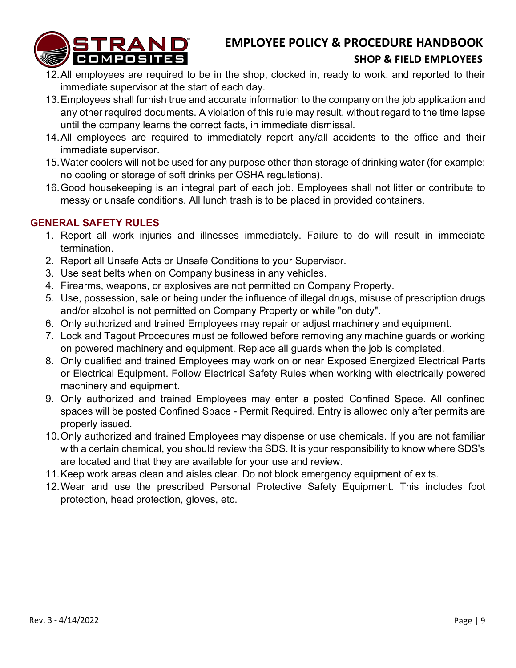

#### **SHOP & FIELD EMPLOYEES**

- 12.All employees are required to be in the shop, clocked in, ready to work, and reported to their immediate supervisor at the start of each day.
- 13.Employees shall furnish true and accurate information to the company on the job application and any other required documents. A violation of this rule may result, without regard to the time lapse until the company learns the correct facts, in immediate dismissal.
- 14.All employees are required to immediately report any/all accidents to the office and their immediate supervisor.
- 15.Water coolers will not be used for any purpose other than storage of drinking water (for example: no cooling or storage of soft drinks per OSHA regulations).
- 16.Good housekeeping is an integral part of each job. Employees shall not litter or contribute to messy or unsafe conditions. All lunch trash is to be placed in provided containers.

#### <span id="page-9-0"></span>**GENERAL SAFETY RULES**

- 1. Report all work injuries and illnesses immediately. Failure to do will result in immediate termination.
- 2. Report all Unsafe Acts or Unsafe Conditions to your Supervisor.
- 3. Use seat belts when on Company business in any vehicles.
- 4. Firearms, weapons, or explosives are not permitted on Company Property.
- 5. Use, possession, sale or being under the influence of illegal drugs, misuse of prescription drugs and/or alcohol is not permitted on Company Property or while "on duty".
- 6. Only authorized and trained Employees may repair or adjust machinery and equipment.
- 7. Lock and Tagout Procedures must be followed before removing any machine guards or working on powered machinery and equipment. Replace all guards when the job is completed.
- 8. Only qualified and trained Employees may work on or near Exposed Energized Electrical Parts or Electrical Equipment. Follow Electrical Safety Rules when working with electrically powered machinery and equipment.
- 9. Only authorized and trained Employees may enter a posted Confined Space. All confined spaces will be posted Confined Space - Permit Required. Entry is allowed only after permits are properly issued.
- 10.Only authorized and trained Employees may dispense or use chemicals. If you are not familiar with a certain chemical, you should review the SDS. It is your responsibility to know where SDS's are located and that they are available for your use and review.
- 11.Keep work areas clean and aisles clear. Do not block emergency equipment of exits.
- 12.Wear and use the prescribed Personal Protective Safety Equipment. This includes foot protection, head protection, gloves, etc.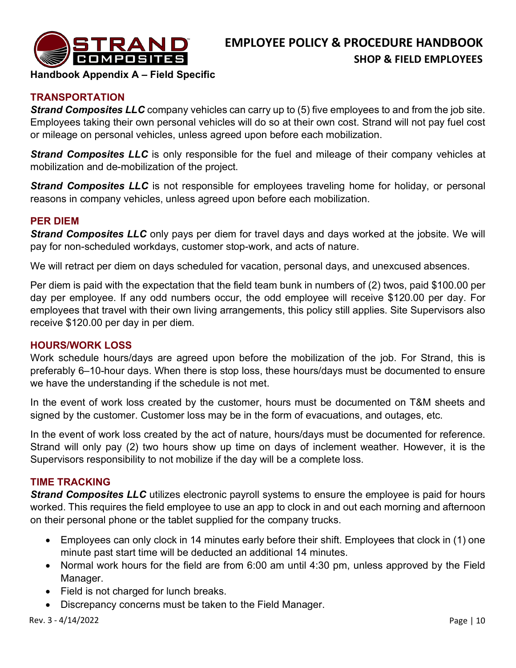

**Handbook Appendix A – Field Specific** 

#### <span id="page-10-0"></span>**TRANSPORTATION**

*Strand Composites LLC* company vehicles can carry up to (5) five employees to and from the job site. Employees taking their own personal vehicles will do so at their own cost. Strand will not pay fuel cost or mileage on personal vehicles, unless agreed upon before each mobilization.

**Strand Composites LLC** is only responsible for the fuel and mileage of their company vehicles at mobilization and de-mobilization of the project.

*Strand Composites LLC* is not responsible for employees traveling home for holiday, or personal reasons in company vehicles, unless agreed upon before each mobilization.

#### <span id="page-10-1"></span>**PER DIEM**

**Strand Composites LLC** only pays per diem for travel days and days worked at the jobsite. We will pay for non-scheduled workdays, customer stop-work, and acts of nature.

We will retract per diem on days scheduled for vacation, personal days, and unexcused absences.

Per diem is paid with the expectation that the field team bunk in numbers of (2) twos, paid \$100.00 per day per employee. If any odd numbers occur, the odd employee will receive \$120.00 per day. For employees that travel with their own living arrangements, this policy still applies. Site Supervisors also receive \$120.00 per day in per diem.

#### <span id="page-10-2"></span>**HOURS/WORK LOSS**

Work schedule hours/days are agreed upon before the mobilization of the job. For Strand, this is preferably 6–10-hour days. When there is stop loss, these hours/days must be documented to ensure we have the understanding if the schedule is not met.

In the event of work loss created by the customer, hours must be documented on T&M sheets and signed by the customer. Customer loss may be in the form of evacuations, and outages, etc.

In the event of work loss created by the act of nature, hours/days must be documented for reference. Strand will only pay (2) two hours show up time on days of inclement weather. However, it is the Supervisors responsibility to not mobilize if the day will be a complete loss.

#### <span id="page-10-3"></span>**TIME TRACKING**

*Strand Composites LLC* utilizes electronic payroll systems to ensure the employee is paid for hours worked. This requires the field employee to use an app to clock in and out each morning and afternoon on their personal phone or the tablet supplied for the company trucks.

- Employees can only clock in 14 minutes early before their shift. Employees that clock in (1) one minute past start time will be deducted an additional 14 minutes.
- Normal work hours for the field are from 6:00 am until 4:30 pm, unless approved by the Field Manager.
- Field is not charged for lunch breaks.
- Discrepancy concerns must be taken to the Field Manager.